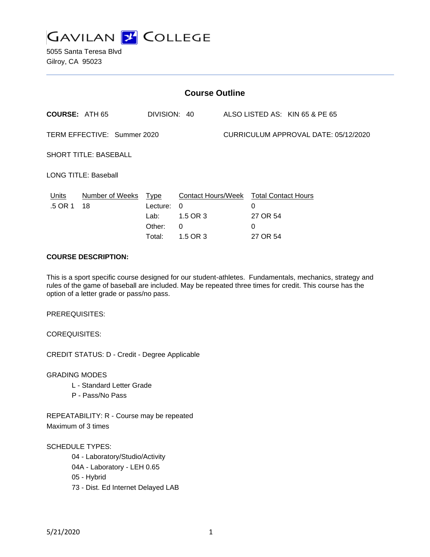

5055 Santa Teresa Blvd Gilroy, CA 95023

| <b>Course Outline</b>        |                            |                                      |                                                                                 |                                      |                                |                                |
|------------------------------|----------------------------|--------------------------------------|---------------------------------------------------------------------------------|--------------------------------------|--------------------------------|--------------------------------|
| <b>COURSE: ATH 65</b>        |                            | DIVISION: 40                         |                                                                                 |                                      |                                | ALSO LISTED AS: KIN 65 & PE 65 |
| TERM EFFECTIVE: Summer 2020  |                            |                                      |                                                                                 | CURRICULUM APPROVAL DATE: 05/12/2020 |                                |                                |
| <b>SHORT TITLE: BASEBALL</b> |                            |                                      |                                                                                 |                                      |                                |                                |
| LONG TITLE: Baseball         |                            |                                      |                                                                                 |                                      |                                |                                |
| Units<br>.5 OR 1             | Number of Weeks Type<br>18 | Lecture:<br>Lab:<br>Other:<br>Total: | Contact Hours/Week Total Contact Hours<br>$\Omega$<br>1.5 OR 3<br>0<br>1.5 OR 3 |                                      | 0<br>27 OR 54<br>0<br>27 OR 54 |                                |

### **COURSE DESCRIPTION:**

This is a sport specific course designed for our student-athletes. Fundamentals, mechanics, strategy and rules of the game of baseball are included. May be repeated three times for credit. This course has the option of a letter grade or pass/no pass.

PREREQUISITES:

COREQUISITES:

CREDIT STATUS: D - Credit - Degree Applicable

GRADING MODES

- L Standard Letter Grade
- P Pass/No Pass

REPEATABILITY: R - Course may be repeated Maximum of 3 times

SCHEDULE TYPES:

04 - Laboratory/Studio/Activity

04A - Laboratory - LEH 0.65

05 - Hybrid

73 - Dist. Ed Internet Delayed LAB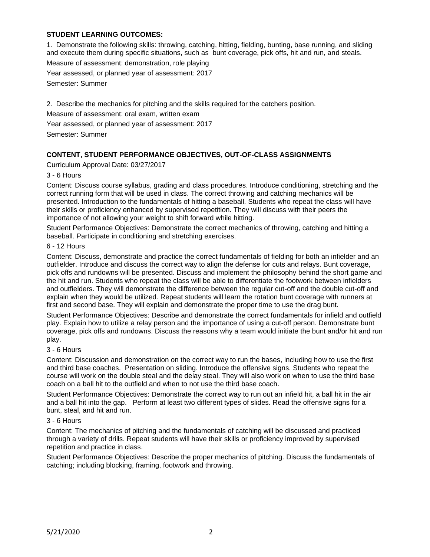## **STUDENT LEARNING OUTCOMES:**

1. Demonstrate the following skills: throwing, catching, hitting, fielding, bunting, base running, and sliding and execute them during specific situations, such as bunt coverage, pick offs, hit and run, and steals.

Measure of assessment: demonstration, role playing

Year assessed, or planned year of assessment: 2017

Semester: Summer

2. Describe the mechanics for pitching and the skills required for the catchers position.

Measure of assessment: oral exam, written exam

Year assessed, or planned year of assessment: 2017

Semester: Summer

# **CONTENT, STUDENT PERFORMANCE OBJECTIVES, OUT-OF-CLASS ASSIGNMENTS**

Curriculum Approval Date: 03/27/2017

## 3 - 6 Hours

Content: Discuss course syllabus, grading and class procedures. Introduce conditioning, stretching and the correct running form that will be used in class. The correct throwing and catching mechanics will be presented. Introduction to the fundamentals of hitting a baseball. Students who repeat the class will have their skills or proficiency enhanced by supervised repetition. They will discuss with their peers the importance of not allowing your weight to shift forward while hitting.

Student Performance Objectives: Demonstrate the correct mechanics of throwing, catching and hitting a baseball. Participate in conditioning and stretching exercises.

### 6 - 12 Hours

Content: Discuss, demonstrate and practice the correct fundamentals of fielding for both an infielder and an outfielder. Introduce and discuss the correct way to align the defense for cuts and relays. Bunt coverage, pick offs and rundowns will be presented. Discuss and implement the philosophy behind the short game and the hit and run. Students who repeat the class will be able to differentiate the footwork between infielders and outfielders. They will demonstrate the difference between the regular cut-off and the double cut-off and explain when they would be utilized. Repeat students will learn the rotation bunt coverage with runners at first and second base. They will explain and demonstrate the proper time to use the drag bunt.

Student Performance Objectives: Describe and demonstrate the correct fundamentals for infield and outfield play. Explain how to utilize a relay person and the importance of using a cut-off person. Demonstrate bunt coverage, pick offs and rundowns. Discuss the reasons why a team would initiate the bunt and/or hit and run play.

### 3 - 6 Hours

Content: Discussion and demonstration on the correct way to run the bases, including how to use the first and third base coaches. Presentation on sliding. Introduce the offensive signs. Students who repeat the course will work on the double steal and the delay steal. They will also work on when to use the third base coach on a ball hit to the outfield and when to not use the third base coach.

Student Performance Objectives: Demonstrate the correct way to run out an infield hit, a ball hit in the air and a ball hit into the gap. Perform at least two different types of slides. Read the offensive signs for a bunt, steal, and hit and run.

### 3 - 6 Hours

Content: The mechanics of pitching and the fundamentals of catching will be discussed and practiced through a variety of drills. Repeat students will have their skills or proficiency improved by supervised repetition and practice in class.

Student Performance Objectives: Describe the proper mechanics of pitching. Discuss the fundamentals of catching; including blocking, framing, footwork and throwing.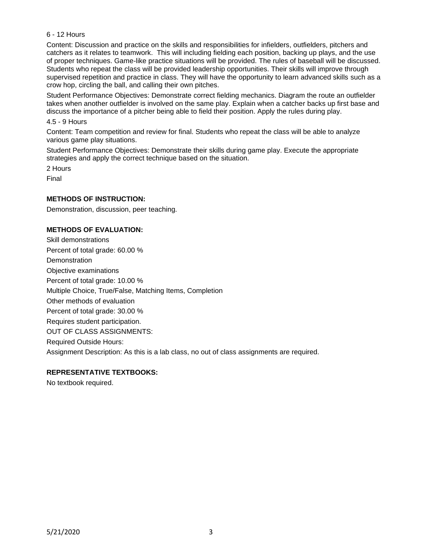### 6 - 12 Hours

Content: Discussion and practice on the skills and responsibilities for infielders, outfielders, pitchers and catchers as it relates to teamwork. This will including fielding each position, backing up plays, and the use of proper techniques. Game-like practice situations will be provided. The rules of baseball will be discussed. Students who repeat the class will be provided leadership opportunities. Their skills will improve through supervised repetition and practice in class. They will have the opportunity to learn advanced skills such as a crow hop, circling the ball, and calling their own pitches.

Student Performance Objectives: Demonstrate correct fielding mechanics. Diagram the route an outfielder takes when another outfielder is involved on the same play. Explain when a catcher backs up first base and discuss the importance of a pitcher being able to field their position. Apply the rules during play.

#### 4.5 - 9 Hours

Content: Team competition and review for final. Students who repeat the class will be able to analyze various game play situations.

Student Performance Objectives: Demonstrate their skills during game play. Execute the appropriate strategies and apply the correct technique based on the situation.

2 Hours

Final

### **METHODS OF INSTRUCTION:**

Demonstration, discussion, peer teaching.

## **METHODS OF EVALUATION:**

Skill demonstrations Percent of total grade: 60.00 % **Demonstration** Objective examinations Percent of total grade: 10.00 % Multiple Choice, True/False, Matching Items, Completion Other methods of evaluation Percent of total grade: 30.00 % Requires student participation. OUT OF CLASS ASSIGNMENTS: Required Outside Hours: Assignment Description: As this is a lab class, no out of class assignments are required.

### **REPRESENTATIVE TEXTBOOKS:**

No textbook required.